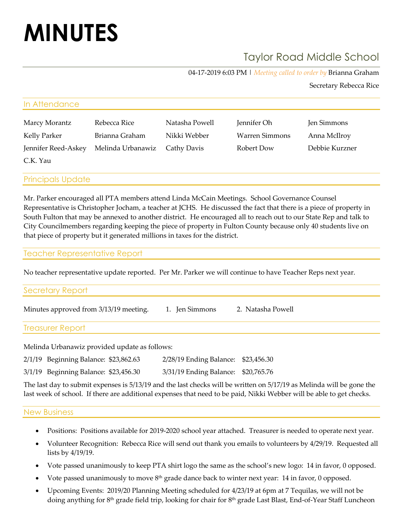# **MINUTES**

# Taylor Road Middle School

04-17-2019 6:03 PM | *Meeting called to order by* Brianna Graham

Secretary Rebecca Rice

| In Attendance       |                   |                |                |                |  |
|---------------------|-------------------|----------------|----------------|----------------|--|
| Marcy Morantz       | Rebecca Rice      | Natasha Powell | Jennifer Oh    | Jen Simmons    |  |
| Kelly Parker        | Brianna Graham    | Nikki Webber   | Warren Simmons | Anna McIlroy   |  |
| Jennifer Reed-Askey | Melinda Urbanawiz | Cathy Davis    | Robert Dow     | Debbie Kurzner |  |
| C.K. Yau            |                   |                |                |                |  |
|                     |                   |                |                |                |  |

Principals Update

Mr. Parker encouraged all PTA members attend Linda McCain Meetings. School Governance Counsel Representative is Christopher Jocham, a teacher at JCHS. He discussed the fact that there is a piece of property in South Fulton that may be annexed to another district. He encouraged all to reach out to our State Rep and talk to City Councilmembers regarding keeping the piece of property in Fulton County because only 40 students live on that piece of property but it generated millions in taxes for the district.

### Teacher Representative Report

No teacher representative update reported. Per Mr. Parker we will continue to have Teacher Reps next year.

#### Secretary Report

| Minutes approved from 3/13/19 meeting. | 1. Jen Simmons | 2. Natasha Powell |
|----------------------------------------|----------------|-------------------|
|                                        |                |                   |

### Treasurer Report

Melinda Urbanawiz provided update as follows:

2/1/19 Beginning Balance: \$23,862.63 2/28/19 Ending Balance: \$23,456.30

3/1/19 Beginning Balance: \$23,456.30 3/31/19 Ending Balance: \$20,765.76

The last day to submit expenses is 5/13/19 and the last checks will be written on 5/17/19 as Melinda will be gone the last week of school. If there are additional expenses that need to be paid, Nikki Webber will be able to get checks.

# New Business

- Positions: Positions available for 2019-2020 school year attached. Treasurer is needed to operate next year.
- Volunteer Recognition: Rebecca Rice will send out thank you emails to volunteers by 4/29/19. Requested all lists by 4/19/19.
- Vote passed unanimously to keep PTA shirt logo the same as the school's new logo: 14 in favor, 0 opposed.
- Vote passed unanimously to move  $8<sup>th</sup>$  grade dance back to winter next year: 14 in favor, 0 opposed.
- Upcoming Events: 2019/20 Planning Meeting scheduled for 4/23/19 at 6pm at 7 Tequilas, we will not be doing anything for 8<sup>th</sup> grade field trip, looking for chair for 8<sup>th</sup> grade Last Blast, End-of-Year Staff Luncheon